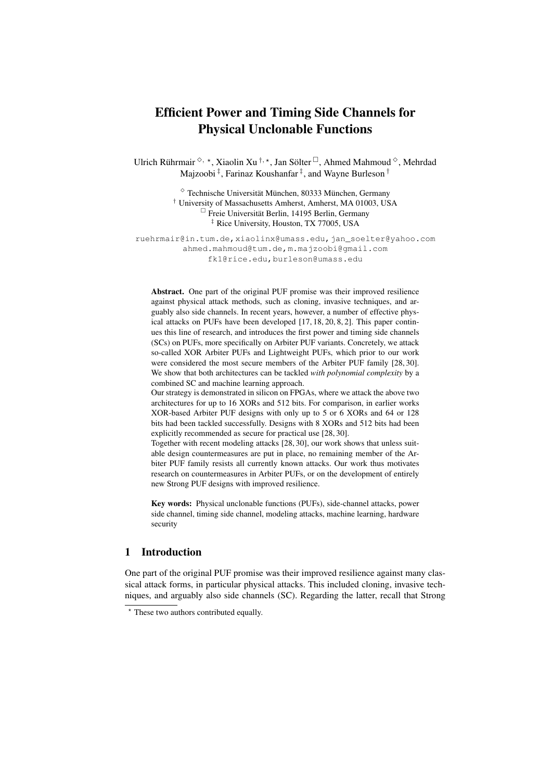# Efficient Power and Timing Side Channels for Physical Unclonable Functions

Ulrich Rührmair <sup>◇,</sup> \*, Xiaolin Xu <sup>†, \*</sup>, Jan Sölter □, Ahmed Mahmoud <sup>◇</sup>, Mehrdad Majzoobi *‡* , Farinaz Koushanfar *‡* , and Wayne Burleson *†*

> <sup> $\diamond$ </sup> Technische Universität München, 80333 München, Germany *†* University of Massachusetts Amherst, Amherst, MA 01003, USA  $\Box$  Freie Universität Berlin, 14195 Berlin, Germany *‡* Rice University, Houston, TX 77005, USA

ruehrmair@in.tum.de,xiaolinx@umass.edu,jan\_soelter@yahoo.com ahmed.mahmoud@tum.de,m.majzoobi@gmail.com fk1@rice.edu,burleson@umass.edu

Abstract. One part of the original PUF promise was their improved resilience against physical attack methods, such as cloning, invasive techniques, and arguably also side channels. In recent years, however, a number of effective physical attacks on PUFs have been developed [17, 18, 20, 8, 2]. This paper continues this line of research, and introduces the first power and timing side channels (SCs) on PUFs, more specifically on Arbiter PUF variants. Concretely, we attack so-called XOR Arbiter PUFs and Lightweight PUFs, which prior to our work were considered the most secure members of the Arbiter PUF family [28, 30]. We show that both architectures can be tackled *with polynomial complexity* by a combined SC and machine learning approach.

Our strategy is demonstrated in silicon on FPGAs, where we attack the above two architectures for up to 16 XORs and 512 bits. For comparison, in earlier works XOR-based Arbiter PUF designs with only up to 5 or 6 XORs and 64 or 128 bits had been tackled successfully. Designs with 8 XORs and 512 bits had been explicitly recommended as secure for practical use [28, 30].

Together with recent modeling attacks [28, 30], our work shows that unless suitable design countermeasures are put in place, no remaining member of the Arbiter PUF family resists all currently known attacks. Our work thus motivates research on countermeasures in Arbiter PUFs, or on the development of entirely new Strong PUF designs with improved resilience.

Key words: Physical unclonable functions (PUFs), side-channel attacks, power side channel, timing side channel, modeling attacks, machine learning, hardware security

# 1 Introduction

One part of the original PUF promise was their improved resilience against many classical attack forms, in particular physical attacks. This included cloning, invasive techniques, and arguably also side channels (SC). Regarding the latter, recall that Strong

*<sup>⋆</sup>* These two authors contributed equally.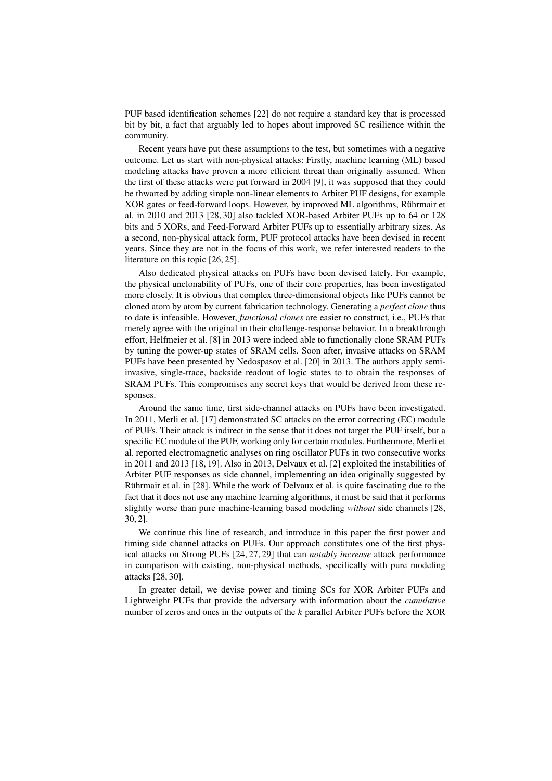PUF based identification schemes [22] do not require a standard key that is processed bit by bit, a fact that arguably led to hopes about improved SC resilience within the community.

Recent years have put these assumptions to the test, but sometimes with a negative outcome. Let us start with non-physical attacks: Firstly, machine learning (ML) based modeling attacks have proven a more efficient threat than originally assumed. When the first of these attacks were put forward in 2004 [9], it was supposed that they could be thwarted by adding simple non-linear elements to Arbiter PUF designs, for example XOR gates or feed-forward loops. However, by improved ML algorithms, Rührmair et al. in 2010 and 2013 [28, 30] also tackled XOR-based Arbiter PUFs up to 64 or 128 bits and 5 XORs, and Feed-Forward Arbiter PUFs up to essentially arbitrary sizes. As a second, non-physical attack form, PUF protocol attacks have been devised in recent years. Since they are not in the focus of this work, we refer interested readers to the literature on this topic [26, 25].

Also dedicated physical attacks on PUFs have been devised lately. For example, the physical unclonability of PUFs, one of their core properties, has been investigated more closely. It is obvious that complex three-dimensional objects like PUFs cannot be cloned atom by atom by current fabrication technology. Generating a *perfect clone* thus to date is infeasible. However, *functional clones* are easier to construct, i.e., PUFs that merely agree with the original in their challenge-response behavior. In a breakthrough effort, Helfmeier et al. [8] in 2013 were indeed able to functionally clone SRAM PUFs by tuning the power-up states of SRAM cells. Soon after, invasive attacks on SRAM PUFs have been presented by Nedospasov et al. [20] in 2013. The authors apply semiinvasive, single-trace, backside readout of logic states to to obtain the responses of SRAM PUFs. This compromises any secret keys that would be derived from these responses.

Around the same time, first side-channel attacks on PUFs have been investigated. In 2011, Merli et al. [17] demonstrated SC attacks on the error correcting (EC) module of PUFs. Their attack is indirect in the sense that it does not target the PUF itself, but a specific EC module of the PUF, working only for certain modules. Furthermore, Merli et al. reported electromagnetic analyses on ring oscillator PUFs in two consecutive works in 2011 and 2013 [18, 19]. Also in 2013, Delvaux et al. [2] exploited the instabilities of Arbiter PUF responses as side channel, implementing an idea originally suggested by Rührmair et al. in [28]. While the work of Delvaux et al. is quite fascinating due to the fact that it does not use any machine learning algorithms, it must be said that it performs slightly worse than pure machine-learning based modeling *without* side channels [28, 30, 2].

We continue this line of research, and introduce in this paper the first power and timing side channel attacks on PUFs. Our approach constitutes one of the first physical attacks on Strong PUFs [24, 27, 29] that can *notably increase* attack performance in comparison with existing, non-physical methods, specifically with pure modeling attacks [28, 30].

In greater detail, we devise power and timing SCs for XOR Arbiter PUFs and Lightweight PUFs that provide the adversary with information about the *cumulative* number of zeros and ones in the outputs of the *k* parallel Arbiter PUFs before the XOR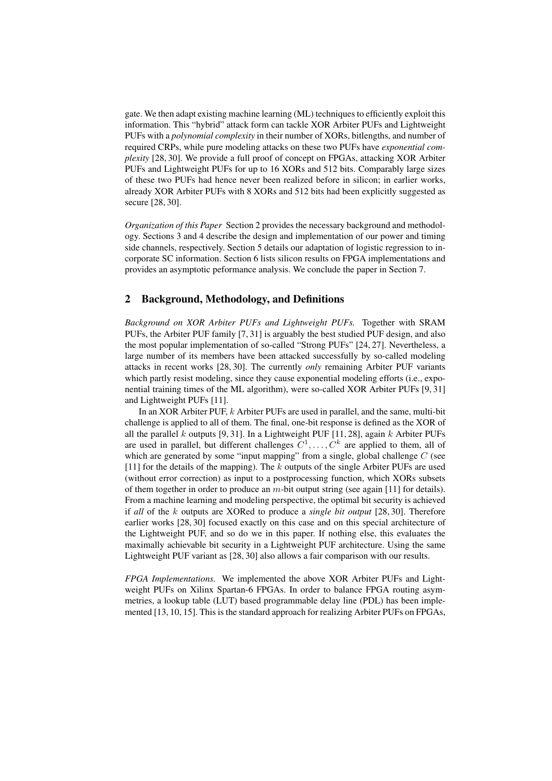gate. We then adapt existing machine learning (ML) techniques to efficiently exploit this information. This "hybrid" attack form can tackle XOR Arbiter PUFs and Lightweight PUFs with a *polynomial complexity* in their number of XORs, bitlengths, and number of required CRPs, while pure modeling attacks on these two PUFs have *exponential complexity* [28, 30]. We provide a full proof of concept on FPGAs, attacking XOR Arbiter PUFs and Lightweight PUFs for up to 16 XORs and 512 bits. Comparably large sizes of these two PUFs had hence never been realized before in silicon; in earlier works, already XOR Arbiter PUFs with 8 XORs and 512 bits had been explicitly suggested as secure [28, 30].

*Organization of this Paper* Section 2 provides the necessary background and methodology. Sections 3 and 4 describe the design and implementation of our power and timing side channels, respectively. Section 5 details our adaptation of logistic regression to incorporate SC information. Section 6 lists silicon results on FPGA implementations and provides an asymptotic peformance analysis. We conclude the paper in Section 7.

# 2 Background, Methodology, and Definitions

*Background on XOR Arbiter PUFs and Lightweight PUFs.* Together with SRAM PUFs, the Arbiter PUF family [7, 31] is arguably the best studied PUF design, and also the most popular implementation of so-called "Strong PUFs" [24, 27]. Nevertheless, a large number of its members have been attacked successfully by so-called modeling attacks in recent works [28, 30]. The currently *only* remaining Arbiter PUF variants which partly resist modeling, since they cause exponential modeling efforts (i.e., exponential training times of the ML algorithm), were so-called XOR Arbiter PUFs [9, 31] and Lightweight PUFs [11].

In an XOR Arbiter PUF, *k* Arbiter PUFs are used in parallel, and the same, multi-bit challenge is applied to all of them. The final, one-bit response is defined as the XOR of all the parallel *k* outputs [9, 31]. In a Lightweight PUF [11, 28], again *k* Arbiter PUFs are used in parallel, but different challenges  $C^1, \ldots, C^k$  are applied to them, all of which are generated by some "input mapping" from a single, global challenge *C* (see [11] for the details of the mapping). The *k* outputs of the single Arbiter PUFs are used (without error correction) as input to a postprocessing function, which XORs subsets of them together in order to produce an *m*-bit output string (see again [11] for details). From a machine learning and modeling perspective, the optimal bit security is achieved if *all* of the *k* outputs are XORed to produce a *single bit output* [28, 30]. Therefore earlier works [28, 30] focused exactly on this case and on this special architecture of the Lightweight PUF, and so do we in this paper. If nothing else, this evaluates the maximally achievable bit security in a Lightweight PUF architecture. Using the same Lightweight PUF variant as [28, 30] also allows a fair comparison with our results.

*FPGA Implementations.* We implemented the above XOR Arbiter PUFs and Lightweight PUFs on Xilinx Spartan-6 FPGAs. In order to balance FPGA routing asymmetries, a lookup table (LUT) based programmable delay line (PDL) has been implemented [13, 10, 15]. This is the standard approach for realizing Arbiter PUFs on FPGAs,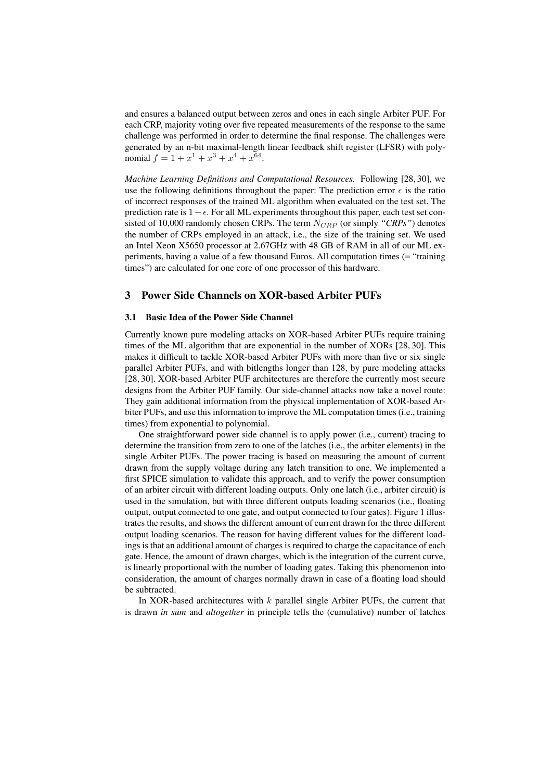and ensures a balanced output between zeros and ones in each single Arbiter PUF. For each CRP, majority voting over five repeated measurements of the response to the same challenge was performed in order to determine the final response. The challenges were generated by an n-bit maximal-length linear feedback shift register (LFSR) with polynomial  $f = 1 + x^1 + x^3 + x^4 + x^{64}$ .

*Machine Learning Definitions and Computational Resources.* Following [28, 30], we use the following definitions throughout the paper: The prediction error  $\epsilon$  is the ratio of incorrect responses of the trained ML algorithm when evaluated on the test set. The prediction rate is 1*−ϵ*. For all ML experiments throughout this paper, each test set consisted of 10,000 randomly chosen CRPs. The term  $N_{CRP}$  (or simply "CRPs") denotes the number of CRPs employed in an attack, i.e., the size of the training set. We used an Intel Xeon X5650 processor at 2.67GHz with 48 GB of RAM in all of our ML experiments, having a value of a few thousand Euros. All computation times (= "training times") are calculated for one core of one processor of this hardware.

### 3 Power Side Channels on XOR-based Arbiter PUFs

#### 3.1 Basic Idea of the Power Side Channel

Currently known pure modeling attacks on XOR-based Arbiter PUFs require training times of the ML algorithm that are exponential in the number of XORs [28, 30]. This makes it difficult to tackle XOR-based Arbiter PUFs with more than five or six single parallel Arbiter PUFs, and with bitlengths longer than 128, by pure modeling attacks [28, 30]. XOR-based Arbiter PUF architectures are therefore the currently most secure designs from the Arbiter PUF family. Our side-channel attacks now take a novel route: They gain additional information from the physical implementation of XOR-based Arbiter PUFs, and use this information to improve the ML computation times (i.e., training times) from exponential to polynomial.

One straightforward power side channel is to apply power (i.e., current) tracing to determine the transition from zero to one of the latches (i.e., the arbiter elements) in the single Arbiter PUFs. The power tracing is based on measuring the amount of current drawn from the supply voltage during any latch transition to one. We implemented a first SPICE simulation to validate this approach, and to verify the power consumption of an arbiter circuit with different loading outputs. Only one latch (i.e., arbiter circuit) is used in the simulation, but with three different outputs loading scenarios (i.e., floating output, output connected to one gate, and output connected to four gates). Figure 1 illustrates the results, and shows the different amount of current drawn for the three different output loading scenarios. The reason for having different values for the different loadings is that an additional amount of charges is required to charge the capacitance of each gate. Hence, the amount of drawn charges, which is the integration of the current curve, is linearly proportional with the number of loading gates. Taking this phenomenon into consideration, the amount of charges normally drawn in case of a floating load should be subtracted.

In XOR-based architectures with *k* parallel single Arbiter PUFs, the current that is drawn *in sum* and *altogether* in principle tells the (cumulative) number of latches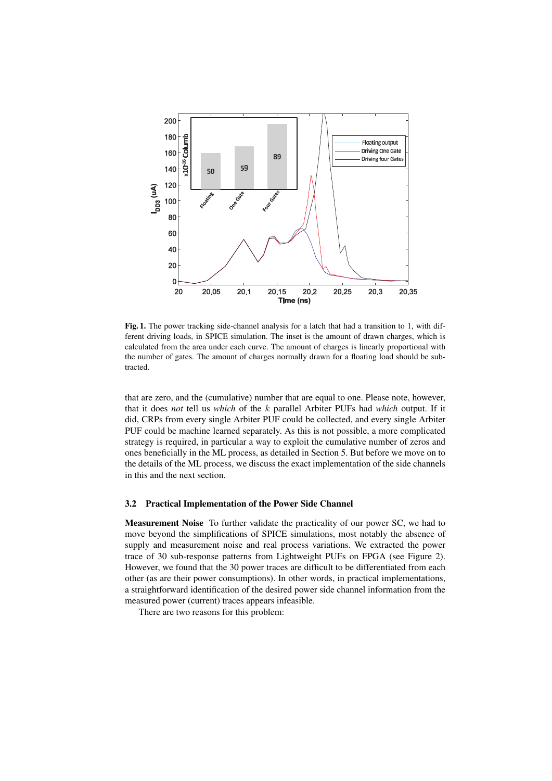

Fig. 1. The power tracking side-channel analysis for a latch that had a transition to 1, with different driving loads, in SPICE simulation. The inset is the amount of drawn charges, which is calculated from the area under each curve. The amount of charges is linearly proportional with the number of gates. The amount of charges normally drawn for a floating load should be subtracted.

that are zero, and the (cumulative) number that are equal to one. Please note, however, that it does *not* tell us *which* of the *k* parallel Arbiter PUFs had *which* output. If it did, CRPs from every single Arbiter PUF could be collected, and every single Arbiter PUF could be machine learned separately. As this is not possible, a more complicated strategy is required, in particular a way to exploit the cumulative number of zeros and ones beneficially in the ML process, as detailed in Section 5. But before we move on to the details of the ML process, we discuss the exact implementation of the side channels in this and the next section.

#### 3.2 Practical Implementation of the Power Side Channel

Measurement Noise To further validate the practicality of our power SC, we had to move beyond the simplifications of SPICE simulations, most notably the absence of supply and measurement noise and real process variations. We extracted the power trace of 30 sub-response patterns from Lightweight PUFs on FPGA (see Figure 2). However, we found that the 30 power traces are difficult to be differentiated from each other (as are their power consumptions). In other words, in practical implementations, a straightforward identification of the desired power side channel information from the measured power (current) traces appears infeasible.

There are two reasons for this problem: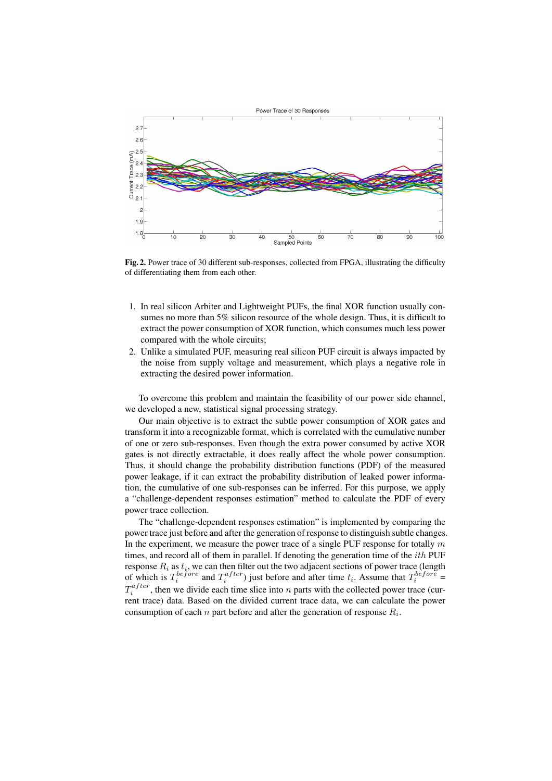

Fig. 2. Power trace of 30 different sub-responses, collected from FPGA, illustrating the difficulty of differentiating them from each other.

- 1. In real silicon Arbiter and Lightweight PUFs, the final XOR function usually consumes no more than 5% silicon resource of the whole design. Thus, it is difficult to extract the power consumption of XOR function, which consumes much less power compared with the whole circuits;
- 2. Unlike a simulated PUF, measuring real silicon PUF circuit is always impacted by the noise from supply voltage and measurement, which plays a negative role in extracting the desired power information.

To overcome this problem and maintain the feasibility of our power side channel, we developed a new, statistical signal processing strategy.

Our main objective is to extract the subtle power consumption of XOR gates and transform it into a recognizable format, which is correlated with the cumulative number of one or zero sub-responses. Even though the extra power consumed by active XOR gates is not directly extractable, it does really affect the whole power consumption. Thus, it should change the probability distribution functions (PDF) of the measured power leakage, if it can extract the probability distribution of leaked power information, the cumulative of one sub-responses can be inferred. For this purpose, we apply a "challenge-dependent responses estimation" method to calculate the PDF of every power trace collection.

The "challenge-dependent responses estimation" is implemented by comparing the power trace just before and after the generation of response to distinguish subtle changes. In the experiment, we measure the power trace of a single PUF response for totally *m* times, and record all of them in parallel. If denoting the generation time of the *ith* PUF response  $R_i$  as  $t_i$ , we can then filter out the two adjacent sections of power trace (length of which is  $T_i^{before}$  and  $T_i^{after}$  just before and after time  $t_i$ . Assume that  $T_i^{before}$  =  $T_i^{after}$ , then we divide each time slice into *n* parts with the collected power trace (current trace) data. Based on the divided current trace data, we can calculate the power consumption of each *n* part before and after the generation of response *R<sup>i</sup>* .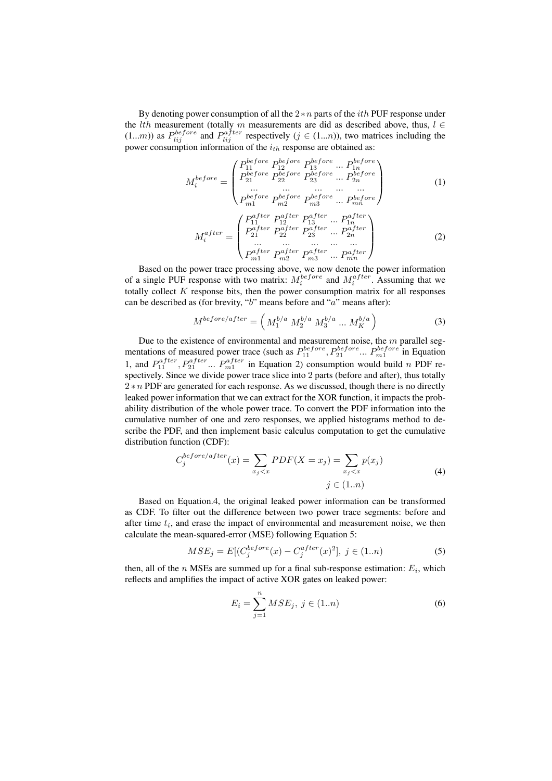By denoting power consumption of all the 2*∗n* parts of the *ith* PUF response under the *lth* measurement (totally *m* measurements are did as described above, thus, *l ∈*  $(1...m)$  as  $P_{lij}^{before}$  and  $P_{lij}^{after}$  respectively  $(j \in (1...n))$ , two matrices including the power consumption information of the *ith* response are obtained as:

$$
M_{i}^{before} = \begin{pmatrix} P_{11}^{before} & P_{12}^{before} & P_{13}^{before} & \dots & P_{1n}^{before} \\ P_{21}^{before} & P_{22}^{before} & P_{23}^{before} & \dots & P_{2n}^{before} \\ \dots & \dots & \dots & \dots & \dots \\ P_{m1}^{before} & P_{m2}^{before} & P_{m3}^{before} & \dots & P_{mn}^{before} \end{pmatrix}
$$
\n
$$
M_{i}^{after} = \begin{pmatrix} P_{11}^{after} & P_{12}^{after} & P_{13}^{after} & \dots & P_{1n}^{after} \\ P_{21}^{after} & P_{22}^{after} & P_{23}^{after} & \dots & P_{2n}^{after} \\ \dots & \dots & \dots & \dots & \dots \\ P_{m1}^{after} & P_{m2}^{after} & P_{m3}^{after} & \dots & P_{mn}^{after} \end{pmatrix}
$$
\n(2)

Based on the power trace processing above, we now denote the power information of a single PUF response with two matrix:  $M_i^{before}$  and  $M_i^{after}$ . Assuming that we totally collect *K* response bits, then the power consumption matrix for all responses can be described as (for brevity, "*b*" means before and "*a*" means after):

$$
M^{before/after} = \left(M_1^{b/a} \ M_2^{b/a} \ M_3^{b/a} \dots M_K^{b/a}\right) \tag{3}
$$

Due to the existence of environmental and measurement noise, the *m* parallel segmentations of measured power trace (such as  $P_{11}^{before}$ ,  $P_{21}^{before}$  *...*  $P_{m1}^{before}$  in Equation 1, and  $P_{11}^{after}$ ,  $P_{21}^{after}$  *...*  $P_{m1}^{after}$  in Equation 2) consumption would build *n* PDF respectively. Since we divide power trace slice into 2 parts (before and after), thus totally 2 *∗ n* PDF are generated for each response. As we discussed, though there is no directly leaked power information that we can extract for the XOR function, it impacts the probability distribution of the whole power trace. To convert the PDF information into the cumulative number of one and zero responses, we applied histograms method to describe the PDF, and then implement basic calculus computation to get the cumulative distribution function (CDF):

$$
C_j^{before/after}(x) = \sum_{x_j < x} PDF(X = x_j) = \sum_{x_j < x} p(x_j) \tag{4}
$$
\n
$$
j \in (1..n)
$$

Based on Equation.4, the original leaked power information can be transformed as CDF. To filter out the difference between two power trace segments: before and after time *t<sup>i</sup>* , and erase the impact of environmental and measurement noise, we then calculate the mean-squared-error (MSE) following Equation 5:

$$
MSE_j = E[(C_j^{before}(x) - C_j^{after}(x)^2], j \in (1..n)
$$
\n(5)

then, all of the  $n$  MSEs are summed up for a final sub-response estimation:  $E_i$ , which reflects and amplifies the impact of active XOR gates on leaked power:

$$
E_i = \sum_{j=1}^{n} MSE_j, \ j \in (1..n)
$$
 (6)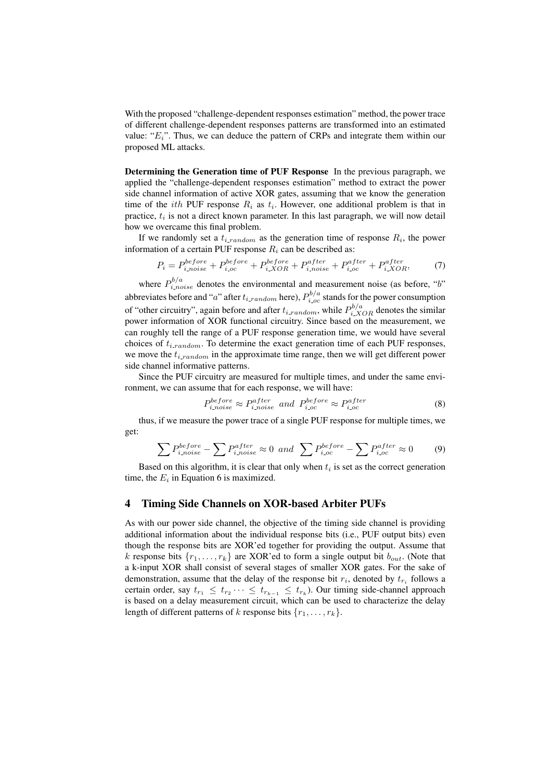With the proposed "challenge-dependent responses estimation" method, the power trace of different challenge-dependent responses patterns are transformed into an estimated value: "*Ei*". Thus, we can deduce the pattern of CRPs and integrate them within our proposed ML attacks.

Determining the Generation time of PUF Response In the previous paragraph, we applied the "challenge-dependent responses estimation" method to extract the power side channel information of active XOR gates, assuming that we know the generation time of the *ith* PUF response  $R_i$  as  $t_i$ . However, one additional problem is that in practice, *t<sup>i</sup>* is not a direct known parameter. In this last paragraph, we will now detail how we overcame this final problem.

If we randomly set a  $t_{i.random}$  as the generation time of response  $R_i$ , the power information of a certain PUF response  $R_i$  can be described as:

$$
P_i = P_{i.noise}^{before} + P_{i.oc}^{before} + P_{i. XOR}^{before} + P_{i. noise}^{after} + P_{i. oc}^{after} + P_{i. XOR}^{after}, \tag{7}
$$

where  $P_{i,noise}^{b/a}$  denotes the environmental and measurement noise (as before, "*b*" abbreviates before and "*a*" after  $t_{i\_random}$  here),  $P_{i.o}^{b/a}$  stands for the power consumption of "other circuitry", again before and after  $t_{i.random}$ , while  $P_{i,XOR}^{b/a}$  denotes the similar power information of XOR functional circuitry. Since based on the measurement, we can roughly tell the range of a PUF response generation time, we would have several choices of *t<sup>i</sup> random*. To determine the exact generation time of each PUF responses, we move the  $t_{i\_random}$  in the approximate time range, then we will get different power side channel informative patterns.

Since the PUF circuitry are measured for multiple times, and under the same environment, we can assume that for each response, we will have:

$$
P_{i-noise}^{before} \approx P_{i-noise}^{after} \quad and \quad P_{i.co}^{before} \approx P_{i.oc}^{after} \tag{8}
$$

thus, if we measure the power trace of a single PUF response for multiple times, we get:

$$
\sum P_{i,noise}^{before} - \sum P_{i,noise}^{after} \approx 0 \ and \ \sum P_{i,oc}^{before} - \sum P_{i,oc}^{after} \approx 0 \tag{9}
$$

Based on this algorithm, it is clear that only when  $t_i$  is set as the correct generation time, the  $E_i$  in Equation 6 is maximized.

# 4 Timing Side Channels on XOR-based Arbiter PUFs

As with our power side channel, the objective of the timing side channel is providing additional information about the individual response bits (i.e., PUF output bits) even though the response bits are XOR'ed together for providing the output. Assume that *k* response bits  $\{r_1, \ldots, r_k\}$  are XOR'ed to form a single output bit  $b_{out}$ . (Note that a k-input XOR shall consist of several stages of smaller XOR gates. For the sake of demonstration, assume that the delay of the response bit  $r_i$ , denoted by  $t_{r_i}$  follows a certain order, say  $t_{r_1} \leq t_{r_2} \cdots \leq t_{r_{k-1}} \leq t_{r_k}$ ). Our timing side-channel approach is based on a delay measurement circuit, which can be used to characterize the delay length of different patterns of *k* response bits  $\{r_1, \ldots, r_k\}$ .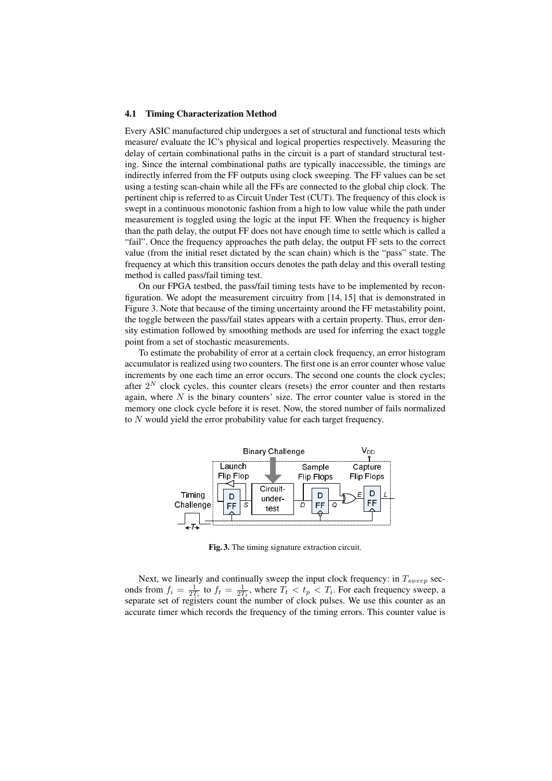#### 4.1 Timing Characterization Method

Every ASIC manufactured chip undergoes a set of structural and functional tests which measure/ evaluate the IC's physical and logical properties respectively. Measuring the delay of certain combinational paths in the circuit is a part of standard structural testing. Since the internal combinational paths are typically inaccessible, the timings are indirectly inferred from the FF outputs using clock sweeping. The FF values can be set using a testing scan-chain while all the FFs are connected to the global chip clock. The pertinent chip is referred to as Circuit Under Test (CUT). The frequency of this clock is swept in a continuous monotonic fashion from a high to low value while the path under measurement is toggled using the logic at the input FF. When the frequency is higher than the path delay, the output FF does not have enough time to settle which is called a "fail". Once the frequency approaches the path delay, the output FF sets to the correct value (from the initial reset dictated by the scan chain) which is the "pass" state. The frequency at which this transition occurs denotes the path delay and this overall testing method is called pass/fail timing test.

On our FPGA testbed, the pass/fail timing tests have to be implemented by reconfiguration. We adopt the measurement circuitry from [14, 15] that is demonstrated in Figure 3. Note that because of the timing uncertainty around the FF metastability point, the toggle between the pass/fail states appears with a certain property. Thus, error density estimation followed by smoothing methods are used for inferring the exact toggle point from a set of stochastic measurements.

To estimate the probability of error at a certain clock frequency, an error histogram accumulator is realized using two counters. The first one is an error counter whose value increments by one each time an error occurs. The second one counts the clock cycles; after  $2<sup>N</sup>$  clock cycles, this counter clears (resets) the error counter and then restarts again, where *N* is the binary counters' size. The error counter value is stored in the memory one clock cycle before it is reset. Now, the stored number of fails normalized to *N* would yield the error probability value for each target frequency.



Fig. 3. The timing signature extraction circuit.

Next, we linearly and continually sweep the input clock frequency: in *Tsweep* seconds from  $f_i = \frac{1}{2T_i}$  to  $f_t = \frac{1}{2T_t}$ , where  $T_t < t_p < T_i$ . For each frequency sweep, a separate set of registers count the number of clock pulses. We use this counter as an accurate timer which records the frequency of the timing errors. This counter value is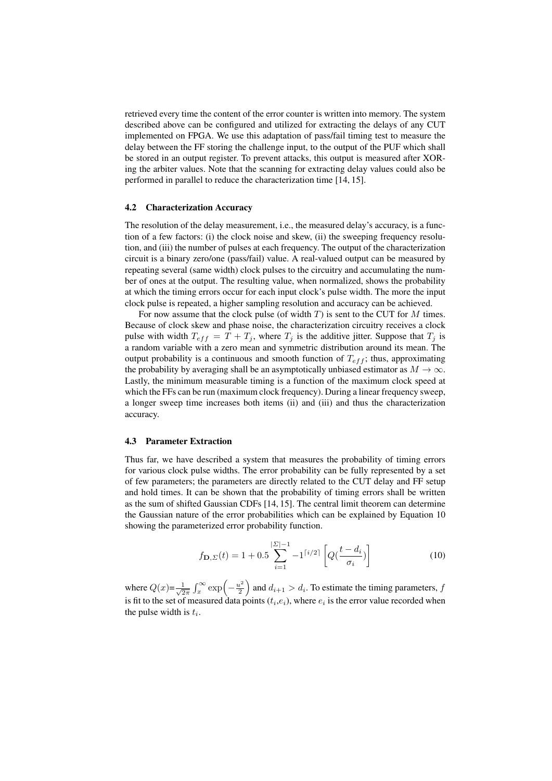retrieved every time the content of the error counter is written into memory. The system described above can be configured and utilized for extracting the delays of any CUT implemented on FPGA. We use this adaptation of pass/fail timing test to measure the delay between the FF storing the challenge input, to the output of the PUF which shall be stored in an output register. To prevent attacks, this output is measured after XORing the arbiter values. Note that the scanning for extracting delay values could also be performed in parallel to reduce the characterization time [14, 15].

#### 4.2 Characterization Accuracy

The resolution of the delay measurement, i.e., the measured delay's accuracy, is a function of a few factors: (i) the clock noise and skew, (ii) the sweeping frequency resolution, and (iii) the number of pulses at each frequency. The output of the characterization circuit is a binary zero/one (pass/fail) value. A real-valued output can be measured by repeating several (same width) clock pulses to the circuitry and accumulating the number of ones at the output. The resulting value, when normalized, shows the probability at which the timing errors occur for each input clock's pulse width. The more the input clock pulse is repeated, a higher sampling resolution and accuracy can be achieved.

For now assume that the clock pulse (of width *T*) is sent to the CUT for *M* times. Because of clock skew and phase noise, the characterization circuitry receives a clock pulse with width  $T_{eff} = T + T_j$ , where  $T_j$  is the additive jitter. Suppose that  $T_j$  is a random variable with a zero mean and symmetric distribution around its mean. The output probability is a continuous and smooth function of  $T_{eff}$ ; thus, approximating the probability by averaging shall be an asymptotically unbiased estimator as  $M \to \infty$ . Lastly, the minimum measurable timing is a function of the maximum clock speed at which the FFs can be run (maximum clock frequency). During a linear frequency sweep, a longer sweep time increases both items (ii) and (iii) and thus the characterization accuracy.

#### 4.3 Parameter Extraction

Thus far, we have described a system that measures the probability of timing errors for various clock pulse widths. The error probability can be fully represented by a set of few parameters; the parameters are directly related to the CUT delay and FF setup and hold times. It can be shown that the probability of timing errors shall be written as the sum of shifted Gaussian CDFs [14, 15]. The central limit theorem can determine the Gaussian nature of the error probabilities which can be explained by Equation 10 showing the parameterized error probability function.

$$
f_{\mathbf{D},\Sigma}(t) = 1 + 0.5 \sum_{i=1}^{|\Sigma|-1} -1^{\lceil i/2 \rceil} \left[ Q(\frac{t - d_i}{\sigma_i}) \right]
$$
(10)

where  $Q(x) = \frac{1}{\sqrt{2}}$  $\frac{1}{2\pi} \int_x^\infty \exp\left(-\frac{u^2}{2}\right)$  $\left(\frac{u^2}{2}\right)$  and  $d_{i+1} > d_i$ . To estimate the timing parameters, *f* is fit to the set of measured data points  $(t_i, e_i)$ , where  $e_i$  is the error value recorded when the pulse width is *t<sup>i</sup>* .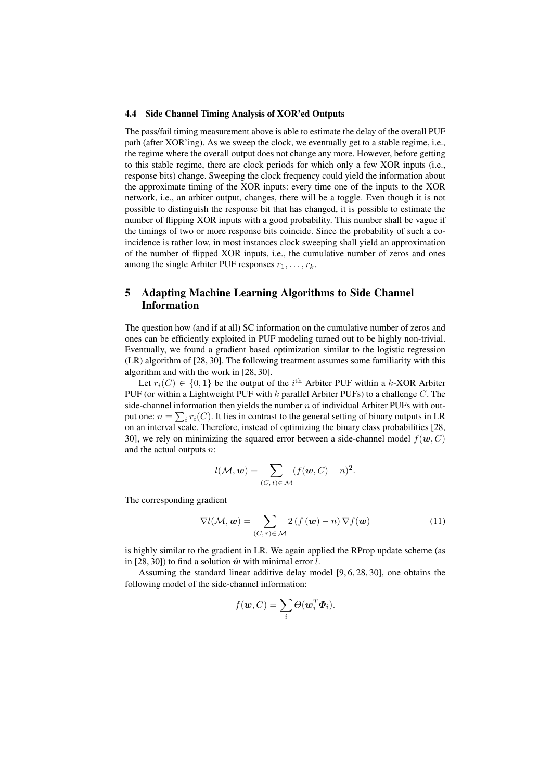#### 4.4 Side Channel Timing Analysis of XOR'ed Outputs

The pass/fail timing measurement above is able to estimate the delay of the overall PUF path (after XOR'ing). As we sweep the clock, we eventually get to a stable regime, i.e., the regime where the overall output does not change any more. However, before getting to this stable regime, there are clock periods for which only a few XOR inputs (i.e., response bits) change. Sweeping the clock frequency could yield the information about the approximate timing of the XOR inputs: every time one of the inputs to the XOR network, i.e., an arbiter output, changes, there will be a toggle. Even though it is not possible to distinguish the response bit that has changed, it is possible to estimate the number of flipping XOR inputs with a good probability. This number shall be vague if the timings of two or more response bits coincide. Since the probability of such a coincidence is rather low, in most instances clock sweeping shall yield an approximation of the number of flipped XOR inputs, i.e., the cumulative number of zeros and ones among the single Arbiter PUF responses  $r_1, \ldots, r_k$ .

# 5 Adapting Machine Learning Algorithms to Side Channel Information

The question how (and if at all) SC information on the cumulative number of zeros and ones can be efficiently exploited in PUF modeling turned out to be highly non-trivial. Eventually, we found a gradient based optimization similar to the logistic regression (LR) algorithm of [28, 30]. The following treatment assumes some familiarity with this algorithm and with the work in [28, 30].

Let  $r_i(C) \in \{0,1\}$  be the output of the *i*<sup>th</sup> Arbiter PUF within a *k*-XOR Arbiter PUF (or within a Lightweight PUF with *k* parallel Arbiter PUFs) to a challenge *C*. The side-channel information then yields the number *n* of individual Arbiter PUFs with output one:  $n = \sum_i r_i(C)$ . It lies in contrast to the general setting of binary outputs in LR on an interval scale. Therefore, instead of optimizing the binary class probabilities [28, 30], we rely on minimizing the squared error between a side-channel model  $f(\mathbf{w}, C)$ and the actual outputs *n*:

$$
l(\mathcal{M}, \mathbf{w}) = \sum_{(C, t) \in \mathcal{M}} (f(\mathbf{w}, C) - n)^2.
$$

The corresponding gradient

$$
\nabla l(\mathcal{M}, \mathbf{w}) = \sum_{(C, r) \in \mathcal{M}} 2 \left( f(\mathbf{w}) - n \right) \nabla f(\mathbf{w}) \tag{11}
$$

is highly similar to the gradient in LR. We again applied the RProp update scheme (as in [28, 30]) to find a solution  $\hat{w}$  with minimal error *l*.

Assuming the standard linear additive delay model [9, 6, 28, 30], one obtains the following model of the side-channel information:

$$
f(\mathbf{w}, C) = \sum_i \Theta(\mathbf{w}_i^T \boldsymbol{\Phi}_i).
$$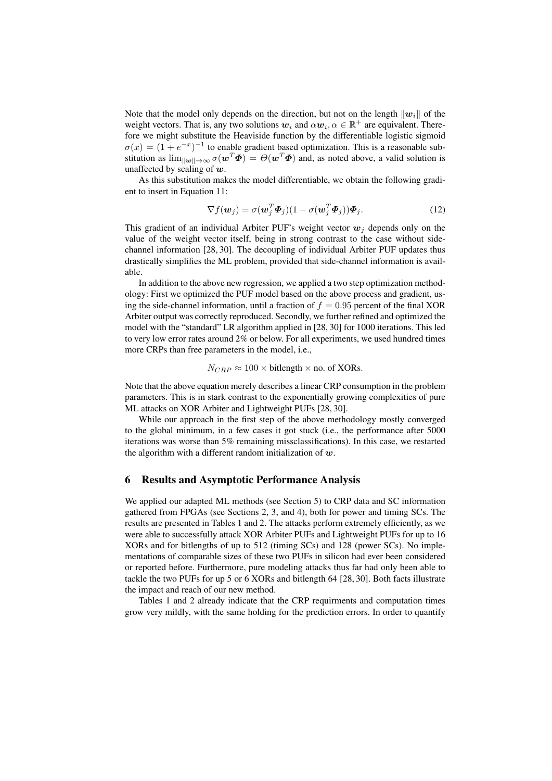Note that the model only depends on the direction, but not on the length *∥wi∥* of the weight vectors. That is, any two solutions  $w_i$  and  $\alpha w_i$ ,  $\alpha \in \mathbb{R}^+$  are equivalent. Therefore we might substitute the Heaviside function by the differentiable logistic sigmoid  $\sigma(x) = (1 + e^{-x})^{-1}$  to enable gradient based optimization. This is a reasonable substitution as  $\lim_{\|w\| \to \infty} \sigma(w^T \Phi) = \Theta(w^T \Phi)$  and, as noted above, a valid solution is unaffected by scaling of *w*.

As this substitution makes the model differentiable, we obtain the following gradient to insert in Equation 11:

$$
\nabla f(\boldsymbol{w}_j) = \sigma(\boldsymbol{w}_j^T \boldsymbol{\Phi}_j)(1 - \sigma(\boldsymbol{w}_j^T \boldsymbol{\Phi}_j)) \boldsymbol{\Phi}_j.
$$
 (12)

This gradient of an individual Arbiter PUF's weight vector  $w_j$  depends only on the value of the weight vector itself, being in strong contrast to the case without sidechannel information [28, 30]. The decoupling of individual Arbiter PUF updates thus drastically simplifies the ML problem, provided that side-channel information is available.

In addition to the above new regression, we applied a two step optimization methodology: First we optimized the PUF model based on the above process and gradient, using the side-channel information, until a fraction of  $f = 0.95$  percent of the final XOR Arbiter output was correctly reproduced. Secondly, we further refined and optimized the model with the "standard" LR algorithm applied in [28, 30] for 1000 iterations. This led to very low error rates around 2% or below. For all experiments, we used hundred times more CRPs than free parameters in the model, i.e.,

$$
N_{CRP} \approx 100 \times \text{bitlength} \times \text{no. of XORs.}
$$

Note that the above equation merely describes a linear CRP consumption in the problem parameters. This is in stark contrast to the exponentially growing complexities of pure ML attacks on XOR Arbiter and Lightweight PUFs [28, 30].

While our approach in the first step of the above methodology mostly converged to the global minimum, in a few cases it got stuck (i.e., the performance after 5000 iterations was worse than 5% remaining missclassifications). In this case, we restarted the algorithm with a different random initialization of *w*.

### 6 Results and Asymptotic Performance Analysis

We applied our adapted ML methods (see Section 5) to CRP data and SC information gathered from FPGAs (see Sections 2, 3, and 4), both for power and timing SCs. The results are presented in Tables 1 and 2. The attacks perform extremely efficiently, as we were able to successfully attack XOR Arbiter PUFs and Lightweight PUFs for up to 16 XORs and for bitlengths of up to 512 (timing SCs) and 128 (power SCs). No implementations of comparable sizes of these two PUFs in silicon had ever been considered or reported before. Furthermore, pure modeling attacks thus far had only been able to tackle the two PUFs for up 5 or 6 XORs and bitlength 64 [28, 30]. Both facts illustrate the impact and reach of our new method.

Tables 1 and 2 already indicate that the CRP requirments and computation times grow very mildly, with the same holding for the prediction errors. In order to quantify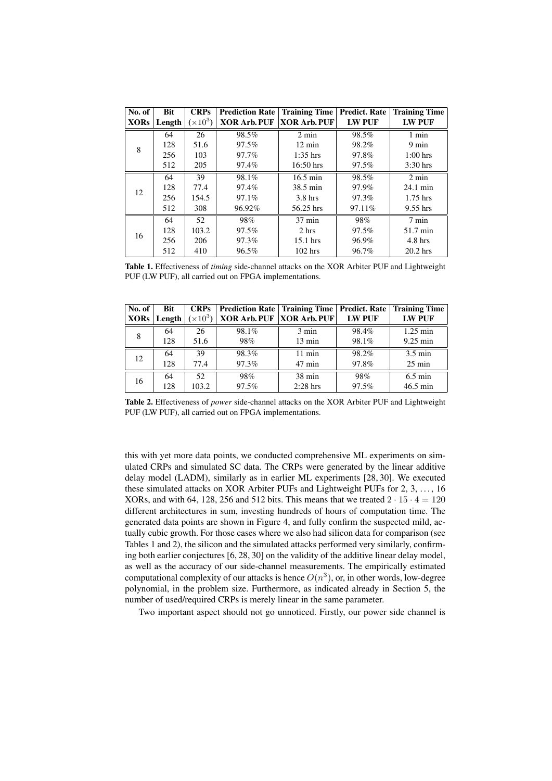| No. of      | <b>Bit</b> | <b>CRPs</b>     | <b>Prediction Rate</b> | <b>Training Time</b> | <b>Predict. Rate</b> | <b>Training Time</b> |
|-------------|------------|-----------------|------------------------|----------------------|----------------------|----------------------|
| <b>XORs</b> | Length     | $(\times 10^3)$ | <b>XOR Arb. PUF</b>    | <b>XOR Arb. PUF</b>  | <b>LW PUF</b>        | <b>LW PUF</b>        |
| 8           | 64         | 26              | 98.5%                  | $2 \text{ min}$      | 98.5%                | 1 min                |
|             | 128        | 51.6            | 97.5%                  | $12 \text{ min}$     | 98.2%                | $9 \text{ min}$      |
|             | 256        | 103             | $97.7\%$               | $1:35$ hrs           | 97.8%                | $1:00$ hrs           |
|             | 512        | 205             | 97.4%                  | $16:50$ hrs          | 97.5%                | $3:30$ hrs           |
| 12          | 64         | 39              | 98.1%                  | $16.5 \text{ min}$   | 98.5%                | $2 \text{ min}$      |
|             | 128        | 77.4            | 97.4%                  | 38.5 min             | 97.9%                | 24.1 min             |
|             | 256        | 154.5           | 97.1%                  | $3.8$ hrs            | 97.3%                | $1.75$ hrs           |
|             | 512        | 308             | 96.92%                 | 56.25 hrs            | 97.11\%              | $9.55$ hrs           |
| 16          | 64         | 52              | 98%                    | $37 \text{ min}$     | 98%                  | 7 min                |
|             | 128        | 103.2           | 97.5%                  | 2 hrs                | 97.5%                | 51.7 min             |
|             | 256        | 206             | 97.3%                  | $15.1$ hrs           | 96.9%                | $4.8$ hrs            |
|             | 512        | 410             | 96.5%                  | $102$ hrs            | 96.7%                | $20.2$ hrs           |

Table 1. Effectiveness of *timing* side-channel attacks on the XOR Arbiter PUF and Lightweight PUF (LW PUF), all carried out on FPGA implementations.

| No. of           | Bit    | <b>CRPs</b> | Prediction Rate   Training Time   Predict. Rate   Training Time |                  |               |                    |
|------------------|--------|-------------|-----------------------------------------------------------------|------------------|---------------|--------------------|
| XOR <sub>s</sub> | Length |             | $(\times 10^3)$ XOR Arb. PUF XOR Arb. PUF                       |                  | <b>LW PUF</b> | <b>LW PUF</b>      |
| 8                | 64     | 26          | 98.1%                                                           | $3 \text{ min}$  | 98.4%         | $1.25 \text{ min}$ |
|                  | 128    | 51.6        | 98%                                                             | $13 \text{ min}$ | 98.1%         | $9.25 \text{ min}$ |
| 12               | 64     | 39          | 98.3%                                                           | $11 \text{ min}$ | 98.2%         | $3.5 \text{ min}$  |
|                  | 128    | 77.4        | 97.3%                                                           | $47 \text{ min}$ | 97.8%         | $25 \text{ min}$   |
| 16               | 64     | 52          | 98%                                                             | 38 min           | 98%           | $6.5 \text{ min}$  |
|                  | 128    | 103.2       | 97.5%                                                           | $2:28$ hrs       | 97.5%         | $46.5 \text{ min}$ |

Table 2. Effectiveness of *power* side-channel attacks on the XOR Arbiter PUF and Lightweight PUF (LW PUF), all carried out on FPGA implementations.

this with yet more data points, we conducted comprehensive ML experiments on simulated CRPs and simulated SC data. The CRPs were generated by the linear additive delay model (LADM), similarly as in earlier ML experiments [28, 30]. We executed these simulated attacks on XOR Arbiter PUFs and Lightweight PUFs for 2, 3, . . . , 16 XORs, and with 64, 128, 256 and 512 bits. This means that we treated  $2 \cdot 15 \cdot 4 = 120$ different architectures in sum, investing hundreds of hours of computation time. The generated data points are shown in Figure 4, and fully confirm the suspected mild, actually cubic growth. For those cases where we also had silicon data for comparison (see Tables 1 and 2), the silicon and the simulated attacks performed very similarly, confirming both earlier conjectures [6, 28, 30] on the validity of the additive linear delay model, as well as the accuracy of our side-channel measurements. The empirically estimated computational complexity of our attacks is hence  $O(n^3)$ , or, in other words, low-degree polynomial, in the problem size. Furthermore, as indicated already in Section 5, the number of used/required CRPs is merely linear in the same parameter.

Two important aspect should not go unnoticed. Firstly, our power side channel is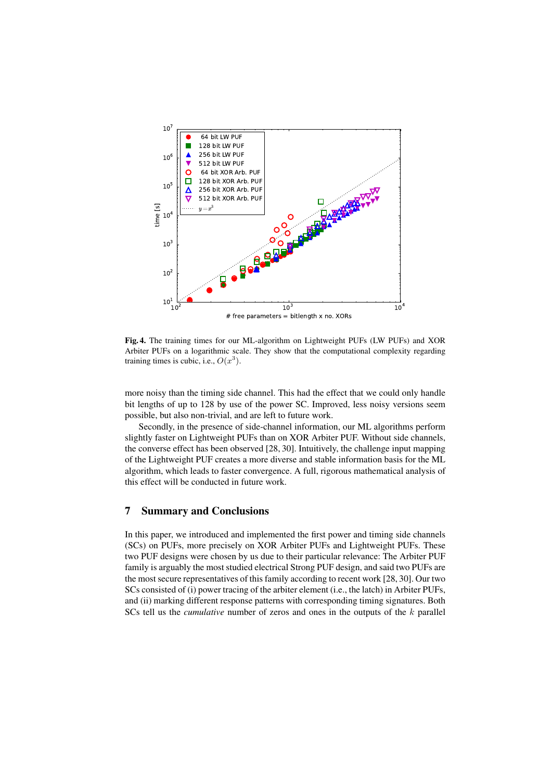

Fig. 4. The training times for our ML-algorithm on Lightweight PUFs (LW PUFs) and XOR Arbiter PUFs on a logarithmic scale. They show that the computational complexity regarding training times is cubic, i.e.,  $O(x^3)$ .

more noisy than the timing side channel. This had the effect that we could only handle bit lengths of up to 128 by use of the power SC. Improved, less noisy versions seem possible, but also non-trivial, and are left to future work.

Secondly, in the presence of side-channel information, our ML algorithms perform slightly faster on Lightweight PUFs than on XOR Arbiter PUF. Without side channels, the converse effect has been observed [28, 30]. Intuitively, the challenge input mapping of the Lightweight PUF creates a more diverse and stable information basis for the ML algorithm, which leads to faster convergence. A full, rigorous mathematical analysis of this effect will be conducted in future work.

### 7 Summary and Conclusions

In this paper, we introduced and implemented the first power and timing side channels (SCs) on PUFs, more precisely on XOR Arbiter PUFs and Lightweight PUFs. These two PUF designs were chosen by us due to their particular relevance: The Arbiter PUF family is arguably the most studied electrical Strong PUF design, and said two PUFs are the most secure representatives of this family according to recent work [28, 30]. Our two SCs consisted of (i) power tracing of the arbiter element (i.e., the latch) in Arbiter PUFs, and (ii) marking different response patterns with corresponding timing signatures. Both SCs tell us the *cumulative* number of zeros and ones in the outputs of the *k* parallel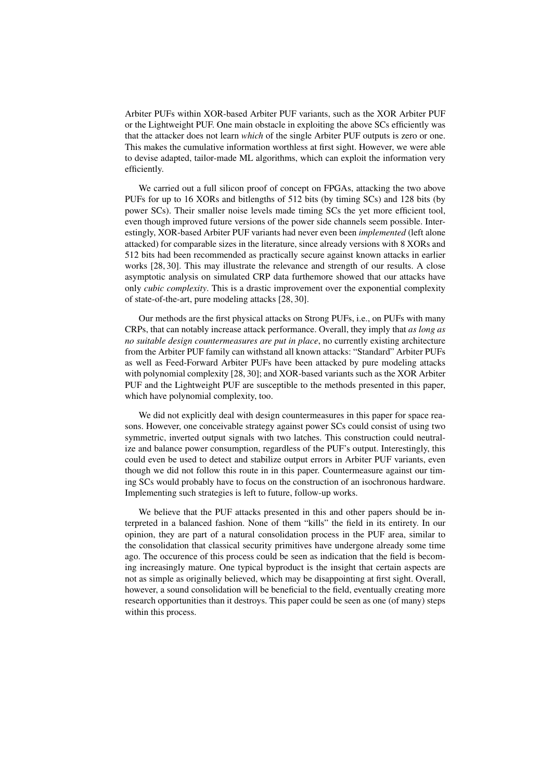Arbiter PUFs within XOR-based Arbiter PUF variants, such as the XOR Arbiter PUF or the Lightweight PUF. One main obstacle in exploiting the above SCs efficiently was that the attacker does not learn *which* of the single Arbiter PUF outputs is zero or one. This makes the cumulative information worthless at first sight. However, we were able to devise adapted, tailor-made ML algorithms, which can exploit the information very efficiently.

We carried out a full silicon proof of concept on FPGAs, attacking the two above PUFs for up to 16 XORs and bitlengths of 512 bits (by timing SCs) and 128 bits (by power SCs). Their smaller noise levels made timing SCs the yet more efficient tool, even though improved future versions of the power side channels seem possible. Interestingly, XOR-based Arbiter PUF variants had never even been *implemented* (left alone attacked) for comparable sizes in the literature, since already versions with 8 XORs and 512 bits had been recommended as practically secure against known attacks in earlier works [28, 30]. This may illustrate the relevance and strength of our results. A close asymptotic analysis on simulated CRP data furthemore showed that our attacks have only *cubic complexity*. This is a drastic improvement over the exponential complexity of state-of-the-art, pure modeling attacks [28, 30].

Our methods are the first physical attacks on Strong PUFs, i.e., on PUFs with many CRPs, that can notably increase attack performance. Overall, they imply that *as long as no suitable design countermeasures are put in place*, no currently existing architecture from the Arbiter PUF family can withstand all known attacks: "Standard" Arbiter PUFs as well as Feed-Forward Arbiter PUFs have been attacked by pure modeling attacks with polynomial complexity [28, 30]; and XOR-based variants such as the XOR Arbiter PUF and the Lightweight PUF are susceptible to the methods presented in this paper, which have polynomial complexity, too.

We did not explicitly deal with design countermeasures in this paper for space reasons. However, one conceivable strategy against power SCs could consist of using two symmetric, inverted output signals with two latches. This construction could neutralize and balance power consumption, regardless of the PUF's output. Interestingly, this could even be used to detect and stabilize output errors in Arbiter PUF variants, even though we did not follow this route in in this paper. Countermeasure against our timing SCs would probably have to focus on the construction of an isochronous hardware. Implementing such strategies is left to future, follow-up works.

We believe that the PUF attacks presented in this and other papers should be interpreted in a balanced fashion. None of them "kills" the field in its entirety. In our opinion, they are part of a natural consolidation process in the PUF area, similar to the consolidation that classical security primitives have undergone already some time ago. The occurence of this process could be seen as indication that the field is becoming increasingly mature. One typical byproduct is the insight that certain aspects are not as simple as originally believed, which may be disappointing at first sight. Overall, however, a sound consolidation will be beneficial to the field, eventually creating more research opportunities than it destroys. This paper could be seen as one (of many) steps within this process.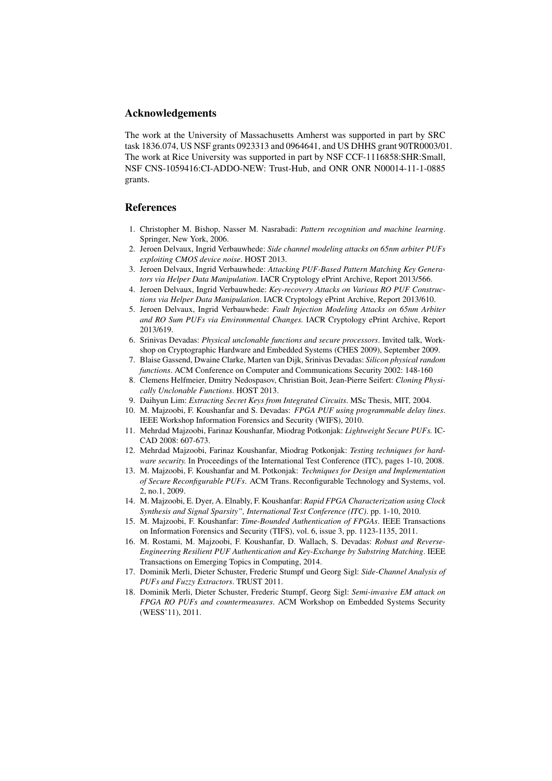## Acknowledgements

The work at the University of Massachusetts Amherst was supported in part by SRC task 1836.074, US NSF grants 0923313 and 0964641, and US DHHS grant 90TR0003/01. The work at Rice University was supported in part by NSF CCF-1116858:SHR:Small, NSF CNS-1059416:CI-ADDO-NEW: Trust-Hub, and ONR ONR N00014-11-1-0885 grants.

## References

- 1. Christopher M. Bishop, Nasser M. Nasrabadi: *Pattern recognition and machine learning*. Springer, New York, 2006.
- 2. Jeroen Delvaux, Ingrid Verbauwhede: *Side channel modeling attacks on 65nm arbiter PUFs exploiting CMOS device noise*. HOST 2013.
- 3. Jeroen Delvaux, Ingrid Verbauwhede: *Attacking PUF-Based Pattern Matching Key Generators via Helper Data Manipulation*. IACR Cryptology ePrint Archive, Report 2013/566.
- 4. Jeroen Delvaux, Ingrid Verbauwhede: *Key-recovery Attacks on Various RO PUF Constructions via Helper Data Manipulation*. IACR Cryptology ePrint Archive, Report 2013/610.
- 5. Jeroen Delvaux, Ingrid Verbauwhede: *Fault Injection Modeling Attacks on 65nm Arbiter and RO Sum PUFs via Environmental Changes.* IACR Cryptology ePrint Archive, Report 2013/619.
- 6. Srinivas Devadas: *Physical unclonable functions and secure processors*. Invited talk, Workshop on Cryptographic Hardware and Embedded Systems (CHES 2009), September 2009.
- 7. Blaise Gassend, Dwaine Clarke, Marten van Dijk, Srinivas Devadas: *Silicon physical random functions*. ACM Conference on Computer and Communications Security 2002: 148-160
- 8. Clemens Helfmeier, Dmitry Nedospasov, Christian Boit, Jean-Pierre Seifert: *Cloning Physically Unclonable Functions*. HOST 2013.
- 9. Daihyun Lim: *Extracting Secret Keys from Integrated Circuits*. MSc Thesis, MIT, 2004.
- 10. M. Majzoobi, F. Koushanfar and S. Devadas: *FPGA PUF using programmable delay lines*. IEEE Workshop Information Forensics and Security (WIFS), 2010.
- 11. Mehrdad Majzoobi, Farinaz Koushanfar, Miodrag Potkonjak: *Lightweight Secure PUFs.* IC-CAD 2008: 607-673.
- 12. Mehrdad Majzoobi, Farinaz Koushanfar, Miodrag Potkonjak: *Testing techniques for hardware security.* In Proceedings of the International Test Conference (ITC), pages 1-10, 2008.
- 13. M. Majzoobi, F. Koushanfar and M. Potkonjak: *Techniques for Design and Implementation of Secure Reconfigurable PUFs*. ACM Trans. Reconfigurable Technology and Systems, vol. 2, no.1, 2009.
- 14. M. Majzoobi, E. Dyer, A. Elnably, F. Koushanfar: *Rapid FPGA Characterization using Clock Synthesis and Signal Sparsity", International Test Conference (ITC)*. pp. 1-10, 2010.
- 15. M. Majzoobi, F. Koushanfar: *Time-Bounded Authentication of FPGAs*. IEEE Transactions on Information Forensics and Security (TIFS), vol. 6, issue 3, pp. 1123-1135, 2011.
- 16. M. Rostami, M. Majzoobi, F. Koushanfar, D. Wallach, S. Devadas: *Robust and Reverse-Engineering Resilient PUF Authentication and Key-Exchange by Substring Matching*. IEEE Transactions on Emerging Topics in Computing, 2014.
- 17. Dominik Merli, Dieter Schuster, Frederic Stumpf und Georg Sigl: *Side-Channel Analysis of PUFs and Fuzzy Extractors*. TRUST 2011.
- 18. Dominik Merli, Dieter Schuster, Frederic Stumpf, Georg Sigl: *Semi-invasive EM attack on FPGA RO PUFs and countermeasures*. ACM Workshop on Embedded Systems Security (WESS'11), 2011.